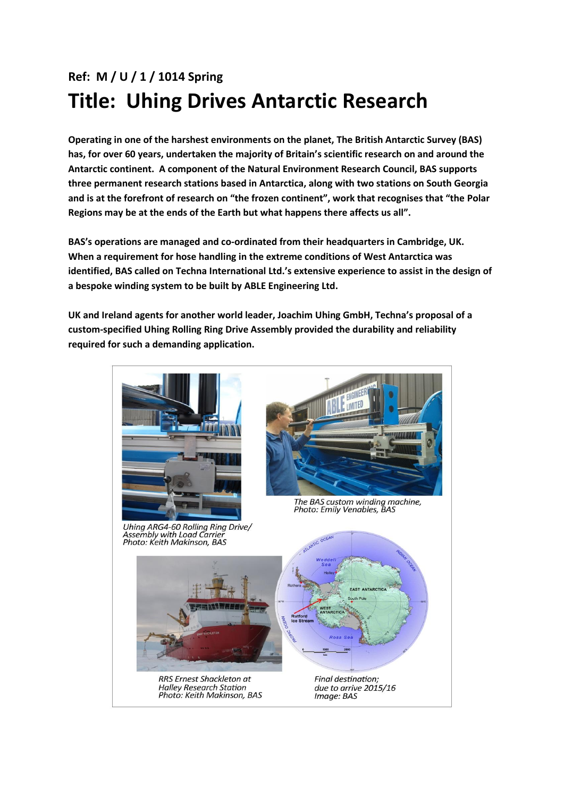## **Ref: M / U / 1 / 1014 Spring Title: Uhing Drives Antarctic Research**

**Operating in one of the harshest environments on the planet, The British Antarctic Survey (BAS) has, for over 60 years, undertaken the majority of Britain's scientific research on and around the Antarctic continent. A component of the Natural Environment Research Council, BAS supports three permanent research stations based in Antarctica, along with two stations on South Georgia and is at the forefront of research on "the frozen continent", work that recognises that "the Polar Regions may be at the ends of the Earth but what happens there affects us all".**

**BAS's operations are managed and co-ordinated from their headquarters in Cambridge, UK. When a requirement for hose handling in the extreme conditions of West Antarctica was identified, BAS called on Techna International Ltd.'s extensive experience to assist in the design of a bespoke winding system to be built by ABLE Engineering Ltd.** 

**UK and Ireland agents for another world leader, Joachim Uhing GmbH, Techna's proposal of a custom-specified Uhing Rolling Ring Drive Assembly provided the durability and reliability required for such a demanding application.**